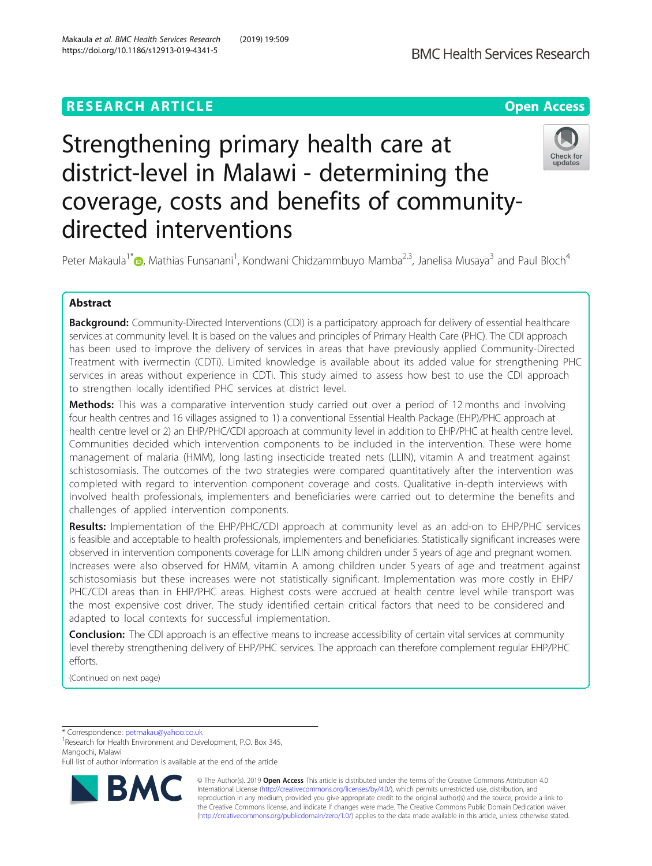# **RESEARCH ARTICLE Example 2014 12:30 The Contract of Contract ACCESS**



# Strengthening primary health care at district-level in Malawi - determining the coverage, costs and benefits of communitydirected interventions



Peter Makaula<sup>1[\\*](http://orcid.org/0000-0002-1198-1655)</sup> (@, Mathias Funsanani<sup>1</sup>, Kondwani Chidzammbuyo Mamba<sup>2,3</sup>, Janelisa Musaya<sup>3</sup> and Paul Bloch<sup>4</sup>

# Abstract

Background: Community-Directed Interventions (CDI) is a participatory approach for delivery of essential healthcare services at community level. It is based on the values and principles of Primary Health Care (PHC). The CDI approach has been used to improve the delivery of services in areas that have previously applied Community-Directed Treatment with ivermectin (CDTi). Limited knowledge is available about its added value for strengthening PHC services in areas without experience in CDTi. This study aimed to assess how best to use the CDI approach to strengthen locally identified PHC services at district level.

Methods: This was a comparative intervention study carried out over a period of 12 months and involving four health centres and 16 villages assigned to 1) a conventional Essential Health Package (EHP)/PHC approach at health centre level or 2) an EHP/PHC/CDI approach at community level in addition to EHP/PHC at health centre level. Communities decided which intervention components to be included in the intervention. These were home management of malaria (HMM), long lasting insecticide treated nets (LLIN), vitamin A and treatment against schistosomiasis. The outcomes of the two strategies were compared quantitatively after the intervention was completed with regard to intervention component coverage and costs. Qualitative in-depth interviews with involved health professionals, implementers and beneficiaries were carried out to determine the benefits and challenges of applied intervention components.

Results: Implementation of the EHP/PHC/CDI approach at community level as an add-on to EHP/PHC services is feasible and acceptable to health professionals, implementers and beneficiaries. Statistically significant increases were observed in intervention components coverage for LLIN among children under 5 years of age and pregnant women. Increases were also observed for HMM, vitamin A among children under 5 years of age and treatment against schistosomiasis but these increases were not statistically significant. Implementation was more costly in EHP/ PHC/CDI areas than in EHP/PHC areas. Highest costs were accrued at health centre level while transport was the most expensive cost driver. The study identified certain critical factors that need to be considered and adapted to local contexts for successful implementation.

**Conclusion:** The CDI approach is an effective means to increase accessibility of certain vital services at community level thereby strengthening delivery of EHP/PHC services. The approach can therefore complement regular EHP/PHC efforts.

(Continued on next page)

\* Correspondence: [petmakau@yahoo.co.uk](mailto:petmakau@yahoo.co.uk) <sup>1</sup>

<sup>1</sup>Research for Health Environment and Development, P.O. Box 345, Mangochi, Malawi

Full list of author information is available at the end of the article



© The Author(s). 2019 **Open Access** This article is distributed under the terms of the Creative Commons Attribution 4.0 International License [\(http://creativecommons.org/licenses/by/4.0/](http://creativecommons.org/licenses/by/4.0/)), which permits unrestricted use, distribution, and reproduction in any medium, provided you give appropriate credit to the original author(s) and the source, provide a link to the Creative Commons license, and indicate if changes were made. The Creative Commons Public Domain Dedication waiver [\(http://creativecommons.org/publicdomain/zero/1.0/](http://creativecommons.org/publicdomain/zero/1.0/)) applies to the data made available in this article, unless otherwise stated.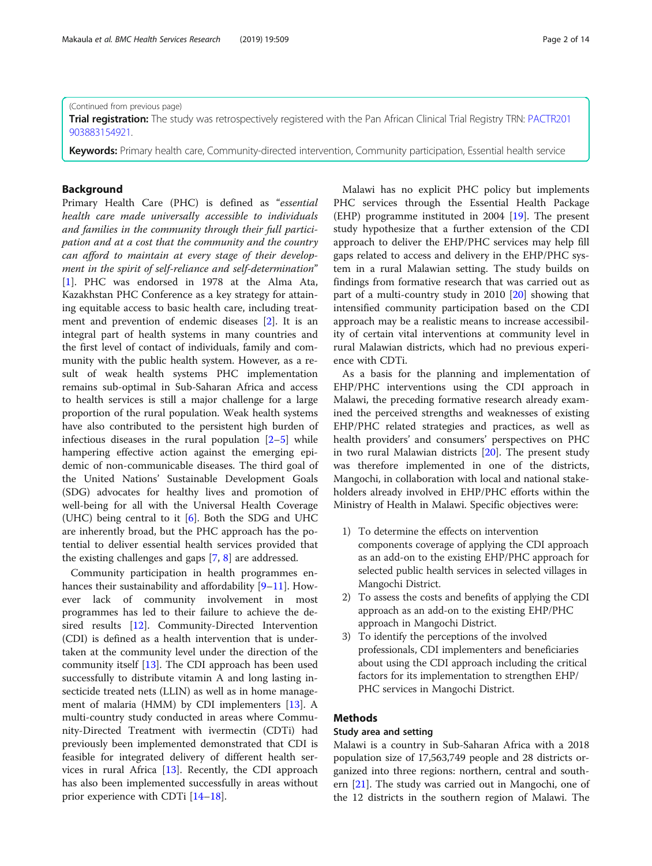(Continued from previous page)

Trial registration: The study was retrospectively registered with the Pan African Clinical Trial Registry TRN: [PACTR201](http://www.pactr.org) [903883154921.](http://www.pactr.org)

Keywords: Primary health care, Community-directed intervention, Community participation, Essential health service

## Background

Primary Health Care (PHC) is defined as "essential health care made universally accessible to individuals and families in the community through their full participation and at a cost that the community and the country can afford to maintain at every stage of their development in the spirit of self-reliance and self-determination" [[1\]](#page-13-0). PHC was endorsed in 1978 at the Alma Ata, Kazakhstan PHC Conference as a key strategy for attaining equitable access to basic health care, including treatment and prevention of endemic diseases [\[2](#page-13-0)]. It is an integral part of health systems in many countries and the first level of contact of individuals, family and community with the public health system. However, as a result of weak health systems PHC implementation remains sub-optimal in Sub-Saharan Africa and access to health services is still a major challenge for a large proportion of the rural population. Weak health systems have also contributed to the persistent high burden of infectious diseases in the rural population [\[2](#page-13-0)–[5\]](#page-13-0) while hampering effective action against the emerging epidemic of non-communicable diseases. The third goal of the United Nations' Sustainable Development Goals (SDG) advocates for healthy lives and promotion of well-being for all with the Universal Health Coverage (UHC) being central to it  $[6]$ . Both the SDG and UHC are inherently broad, but the PHC approach has the potential to deliver essential health services provided that the existing challenges and gaps [[7,](#page-13-0) [8\]](#page-13-0) are addressed.

Community participation in health programmes en-hances their sustainability and affordability [[9](#page-13-0)–[11](#page-13-0)]. However lack of community involvement in most programmes has led to their failure to achieve the desired results [[12](#page-13-0)]. Community-Directed Intervention (CDI) is defined as a health intervention that is undertaken at the community level under the direction of the community itself [[13\]](#page-13-0). The CDI approach has been used successfully to distribute vitamin A and long lasting insecticide treated nets (LLIN) as well as in home management of malaria (HMM) by CDI implementers [\[13\]](#page-13-0). A multi-country study conducted in areas where Community-Directed Treatment with ivermectin (CDTi) had previously been implemented demonstrated that CDI is feasible for integrated delivery of different health services in rural Africa [\[13](#page-13-0)]. Recently, the CDI approach has also been implemented successfully in areas without prior experience with CDTi [\[14](#page-13-0)–[18\]](#page-13-0).

Malawi has no explicit PHC policy but implements PHC services through the Essential Health Package (EHP) programme instituted in 2004 [[19](#page-13-0)]. The present study hypothesize that a further extension of the CDI approach to deliver the EHP/PHC services may help fill gaps related to access and delivery in the EHP/PHC system in a rural Malawian setting. The study builds on findings from formative research that was carried out as part of a multi-country study in 2010 [[20](#page-13-0)] showing that intensified community participation based on the CDI approach may be a realistic means to increase accessibility of certain vital interventions at community level in rural Malawian districts, which had no previous experience with CDTi.

As a basis for the planning and implementation of EHP/PHC interventions using the CDI approach in Malawi, the preceding formative research already examined the perceived strengths and weaknesses of existing EHP/PHC related strategies and practices, as well as health providers' and consumers' perspectives on PHC in two rural Malawian districts [\[20\]](#page-13-0). The present study was therefore implemented in one of the districts, Mangochi, in collaboration with local and national stakeholders already involved in EHP/PHC efforts within the Ministry of Health in Malawi. Specific objectives were:

- 1) To determine the effects on intervention components coverage of applying the CDI approach as an add-on to the existing EHP/PHC approach for selected public health services in selected villages in Mangochi District.
- 2) To assess the costs and benefits of applying the CDI approach as an add-on to the existing EHP/PHC approach in Mangochi District.
- 3) To identify the perceptions of the involved professionals, CDI implementers and beneficiaries about using the CDI approach including the critical factors for its implementation to strengthen EHP/ PHC services in Mangochi District.

## Methods

#### Study area and setting

Malawi is a country in Sub-Saharan Africa with a 2018 population size of 17,563,749 people and 28 districts organized into three regions: northern, central and southern [[21](#page-13-0)]. The study was carried out in Mangochi, one of the 12 districts in the southern region of Malawi. The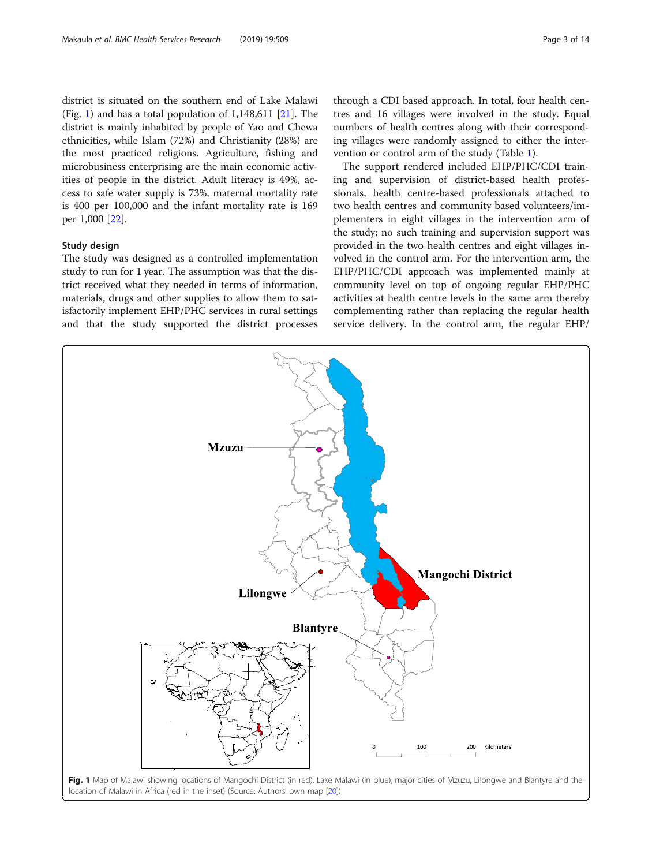district is situated on the southern end of Lake Malawi (Fig. 1) and has a total population of 1,148,611 [\[21\]](#page-13-0). The district is mainly inhabited by people of Yao and Chewa ethnicities, while Islam (72%) and Christianity (28%) are the most practiced religions. Agriculture, fishing and microbusiness enterprising are the main economic activities of people in the district. Adult literacy is 49%, access to safe water supply is 73%, maternal mortality rate is 400 per 100,000 and the infant mortality rate is 169 per 1,000 [[22\]](#page-13-0).

# Study design

The study was designed as a controlled implementation study to run for 1 year. The assumption was that the district received what they needed in terms of information, materials, drugs and other supplies to allow them to satisfactorily implement EHP/PHC services in rural settings and that the study supported the district processes

through a CDI based approach. In total, four health centres and 16 villages were involved in the study. Equal numbers of health centres along with their corresponding villages were randomly assigned to either the intervention or control arm of the study (Table [1](#page-3-0)).

The support rendered included EHP/PHC/CDI training and supervision of district-based health professionals, health centre-based professionals attached to two health centres and community based volunteers/implementers in eight villages in the intervention arm of the study; no such training and supervision support was provided in the two health centres and eight villages involved in the control arm. For the intervention arm, the EHP/PHC/CDI approach was implemented mainly at community level on top of ongoing regular EHP/PHC activities at health centre levels in the same arm thereby complementing rather than replacing the regular health service delivery. In the control arm, the regular EHP/

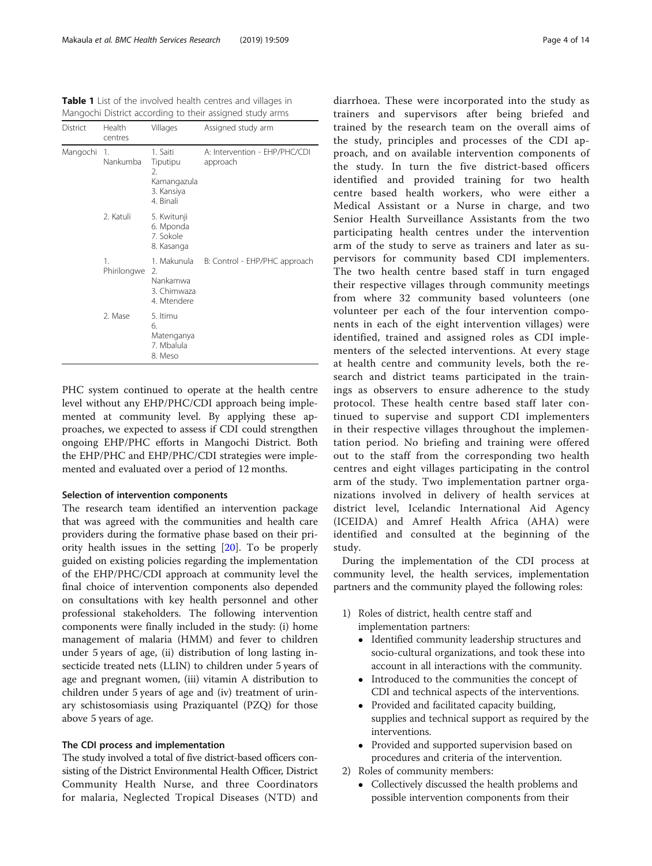<span id="page-3-0"></span>Table 1 List of the involved health centres and villages in Mangochi District according to their assigned study arms

| District | Health<br>centres | Villages                                                             | Assigned study arm                        |
|----------|-------------------|----------------------------------------------------------------------|-------------------------------------------|
| Mangochi | 1.<br>Nankumba    | 1. Saiti<br>Tiputipu<br>2.<br>Kamangazula<br>3. Kansiya<br>4. Binali | A: Intervention - EHP/PHC/CDI<br>approach |
|          | 2. Katuli         | 5. Kwitunji<br>6. Mponda<br>7. Sokole<br>8. Kasanga                  |                                           |
|          | 1.<br>Phirilongwe | 1. Makunula<br>2.<br>Nankamwa<br>3. Chimwaza<br>4. Mtendere          | B: Control - EHP/PHC approach             |
|          | 2. Mase           | 5. Itimu<br>6.<br>Matenganya<br>7. Mbalula<br>8. Meso                |                                           |

PHC system continued to operate at the health centre level without any EHP/PHC/CDI approach being implemented at community level. By applying these approaches, we expected to assess if CDI could strengthen ongoing EHP/PHC efforts in Mangochi District. Both the EHP/PHC and EHP/PHC/CDI strategies were implemented and evaluated over a period of 12 months.

#### Selection of intervention components

The research team identified an intervention package that was agreed with the communities and health care providers during the formative phase based on their priority health issues in the setting [\[20](#page-13-0)]. To be properly guided on existing policies regarding the implementation of the EHP/PHC/CDI approach at community level the final choice of intervention components also depended on consultations with key health personnel and other professional stakeholders. The following intervention components were finally included in the study: (i) home management of malaria (HMM) and fever to children under 5 years of age, (ii) distribution of long lasting insecticide treated nets (LLIN) to children under 5 years of age and pregnant women, (iii) vitamin A distribution to children under 5 years of age and (iv) treatment of urinary schistosomiasis using Praziquantel (PZQ) for those above 5 years of age.

# The CDI process and implementation

The study involved a total of five district-based officers consisting of the District Environmental Health Officer, District Community Health Nurse, and three Coordinators for malaria, Neglected Tropical Diseases (NTD) and

diarrhoea. These were incorporated into the study as trainers and supervisors after being briefed and trained by the research team on the overall aims of the study, principles and processes of the CDI approach, and on available intervention components of the study. In turn the five district-based officers identified and provided training for two health centre based health workers, who were either a Medical Assistant or a Nurse in charge, and two Senior Health Surveillance Assistants from the two participating health centres under the intervention arm of the study to serve as trainers and later as supervisors for community based CDI implementers. The two health centre based staff in turn engaged their respective villages through community meetings from where 32 community based volunteers (one volunteer per each of the four intervention components in each of the eight intervention villages) were identified, trained and assigned roles as CDI implementers of the selected interventions. At every stage at health centre and community levels, both the research and district teams participated in the trainings as observers to ensure adherence to the study protocol. These health centre based staff later continued to supervise and support CDI implementers in their respective villages throughout the implementation period. No briefing and training were offered out to the staff from the corresponding two health centres and eight villages participating in the control arm of the study. Two implementation partner organizations involved in delivery of health services at district level, Icelandic International Aid Agency (ICEIDA) and Amref Health Africa (AHA) were identified and consulted at the beginning of the study.

During the implementation of the CDI process at community level, the health services, implementation partners and the community played the following roles:

- 1) Roles of district, health centre staff and implementation partners:
	- Identified community leadership structures and socio-cultural organizations, and took these into account in all interactions with the community.
	- Introduced to the communities the concept of CDI and technical aspects of the interventions.
	- Provided and facilitated capacity building, supplies and technical support as required by the interventions.
	- Provided and supported supervision based on procedures and criteria of the intervention.
- 2) Roles of community members:
	- Collectively discussed the health problems and possible intervention components from their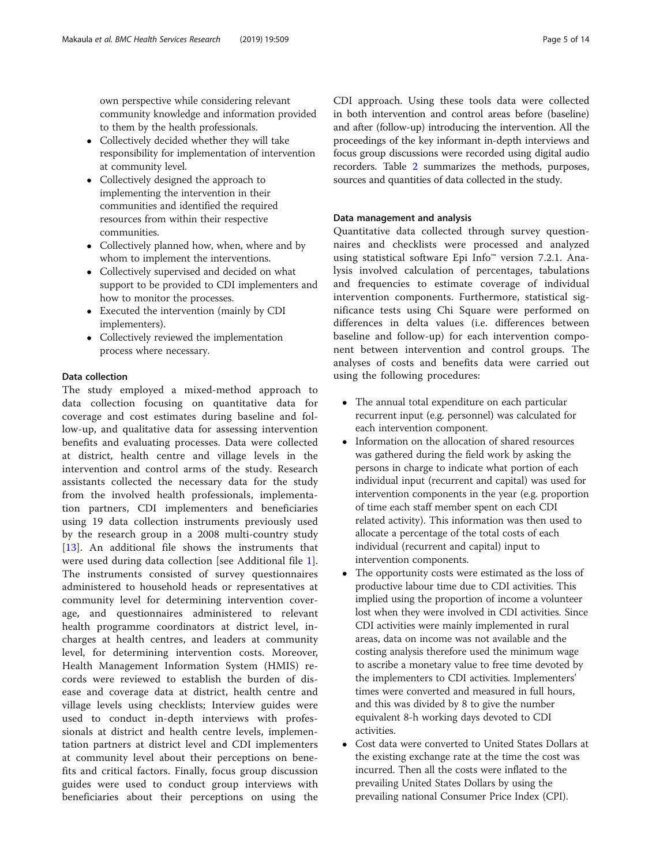own perspective while considering relevant community knowledge and information provided to them by the health professionals.

- Collectively decided whether they will take responsibility for implementation of intervention at community level.
- Collectively designed the approach to implementing the intervention in their communities and identified the required resources from within their respective communities.
- Collectively planned how, when, where and by whom to implement the interventions.
- Collectively supervised and decided on what support to be provided to CDI implementers and how to monitor the processes.
- Executed the intervention (mainly by CDI implementers).
- Collectively reviewed the implementation process where necessary.

# Data collection

The study employed a mixed-method approach to data collection focusing on quantitative data for coverage and cost estimates during baseline and follow-up, and qualitative data for assessing intervention benefits and evaluating processes. Data were collected at district, health centre and village levels in the intervention and control arms of the study. Research assistants collected the necessary data for the study from the involved health professionals, implementation partners, CDI implementers and beneficiaries using 19 data collection instruments previously used by the research group in a 2008 multi-country study [[13\]](#page-13-0). An additional file shows the instruments that were used during data collection [see Additional file [1](#page-12-0)]. The instruments consisted of survey questionnaires administered to household heads or representatives at community level for determining intervention coverage, and questionnaires administered to relevant health programme coordinators at district level, incharges at health centres, and leaders at community level, for determining intervention costs. Moreover, Health Management Information System (HMIS) records were reviewed to establish the burden of disease and coverage data at district, health centre and village levels using checklists; Interview guides were used to conduct in-depth interviews with professionals at district and health centre levels, implementation partners at district level and CDI implementers at community level about their perceptions on benefits and critical factors. Finally, focus group discussion guides were used to conduct group interviews with beneficiaries about their perceptions on using the

CDI approach. Using these tools data were collected in both intervention and control areas before (baseline) and after (follow-up) introducing the intervention. All the proceedings of the key informant in-depth interviews and focus group discussions were recorded using digital audio recorders. Table [2](#page-5-0) summarizes the methods, purposes, sources and quantities of data collected in the study.

#### Data management and analysis

Quantitative data collected through survey questionnaires and checklists were processed and analyzed using statistical software Epi Info™ version 7.2.1. Analysis involved calculation of percentages, tabulations and frequencies to estimate coverage of individual intervention components. Furthermore, statistical significance tests using Chi Square were performed on differences in delta values (i.e. differences between baseline and follow-up) for each intervention component between intervention and control groups. The analyses of costs and benefits data were carried out using the following procedures:

- The annual total expenditure on each particular recurrent input (e.g. personnel) was calculated for each intervention component.
- Information on the allocation of shared resources was gathered during the field work by asking the persons in charge to indicate what portion of each individual input (recurrent and capital) was used for intervention components in the year (e.g. proportion of time each staff member spent on each CDI related activity). This information was then used to allocate a percentage of the total costs of each individual (recurrent and capital) input to intervention components.
- The opportunity costs were estimated as the loss of productive labour time due to CDI activities. This implied using the proportion of income a volunteer lost when they were involved in CDI activities. Since CDI activities were mainly implemented in rural areas, data on income was not available and the costing analysis therefore used the minimum wage to ascribe a monetary value to free time devoted by the implementers to CDI activities. Implementers' times were converted and measured in full hours, and this was divided by 8 to give the number equivalent 8-h working days devoted to CDI activities.
- Cost data were converted to United States Dollars at the existing exchange rate at the time the cost was incurred. Then all the costs were inflated to the prevailing United States Dollars by using the prevailing national Consumer Price Index (CPI).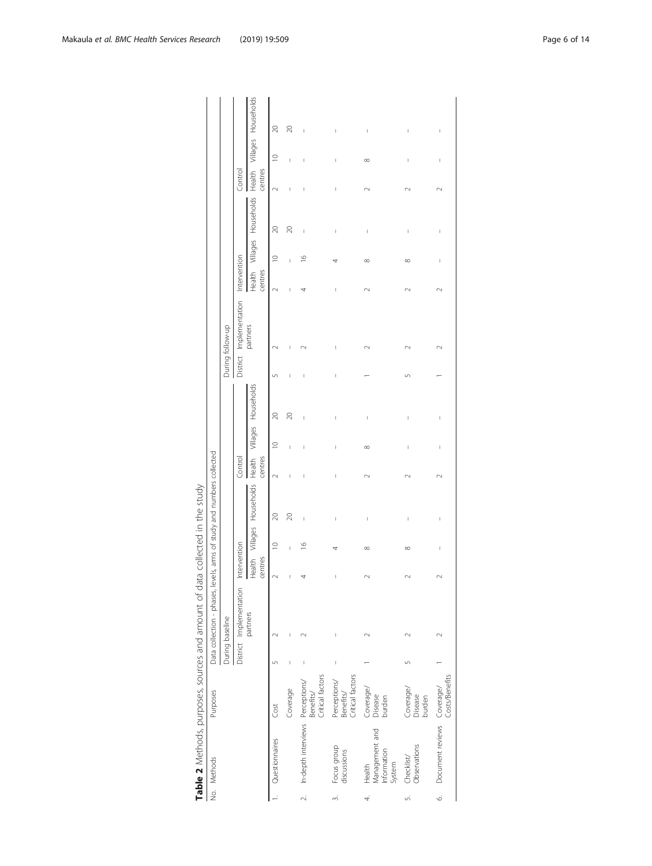<span id="page-5-0"></span>

| Table 2 Methods, purposes, sources and amount of data collected in the study | Data collection - phases, levels, arms of study and numbers collected | During follow-up | Control<br>District Implementation Intervention<br>Control<br>Intervention<br>District Implementation | Health Villages Households Health Villages Households<br>centres<br>centres<br>partners<br>Health Villages Households Health Villages Households<br>centres<br>centres<br>partners | 20<br>$\supseteq$<br>$\scriptstyle\sim$<br>20<br>$\supseteq$<br>$\sim$<br>↘<br>5<br>20<br>$\supseteq$<br>$\sim$<br>20<br>$\supseteq$<br>$\sim$ | 20<br>I<br>I<br>20<br>I<br>Ï<br>I<br>I<br>$\approx$<br>I<br>I<br>20<br>I<br>I | Ī<br>I<br>I<br>$\overline{\phantom{a}}$<br>$\frac{6}{1}$<br>I<br>I<br>I<br>$\overline{\phantom{a}}$<br>$\frac{6}{1}$ | I<br>I<br>$\vert$<br>I<br>I<br>I<br>Ï<br>I<br>I<br>$\overline{\phantom{a}}$<br>I<br>$\vert$ | I<br>$\infty$<br>$\sim$<br>$\overline{\phantom{a}}$<br>$\infty$<br>I<br>$\infty$<br>I<br>$\infty$<br>$\scriptstyle\sim$ | $\vert$<br>$\vert$<br>$\sim$<br>$\vert$<br>∞<br>N<br>N<br>LN<br>I<br>$\vert$<br>$\scriptstyle\sim$<br>$\vert$<br>$\infty$<br>$\scriptstyle\sim$ |
|------------------------------------------------------------------------------|-----------------------------------------------------------------------|------------------|-------------------------------------------------------------------------------------------------------|------------------------------------------------------------------------------------------------------------------------------------------------------------------------------------|------------------------------------------------------------------------------------------------------------------------------------------------|-------------------------------------------------------------------------------|----------------------------------------------------------------------------------------------------------------------|---------------------------------------------------------------------------------------------|-------------------------------------------------------------------------------------------------------------------------|-------------------------------------------------------------------------------------------------------------------------------------------------|
|                                                                              |                                                                       |                  |                                                                                                       |                                                                                                                                                                                    |                                                                                                                                                |                                                                               |                                                                                                                      |                                                                                             |                                                                                                                         |                                                                                                                                                 |
|                                                                              |                                                                       | During baseline  |                                                                                                       |                                                                                                                                                                                    |                                                                                                                                                | I                                                                             |                                                                                                                      |                                                                                             |                                                                                                                         |                                                                                                                                                 |
|                                                                              | Purposes                                                              |                  |                                                                                                       |                                                                                                                                                                                    | Cost                                                                                                                                           | Coverage                                                                      | Critical factors<br>Benefits/                                                                                        | Critical factors<br>Perceptions/<br>Benefits/                                               | Coverage/<br>Disease<br>burden                                                                                          | Coverage/<br>Disease<br>burden                                                                                                                  |
|                                                                              | No. Methods                                                           |                  |                                                                                                       |                                                                                                                                                                                    | 1. Questionnaires                                                                                                                              |                                                                               | 2. In-depth interviews Perceptions/                                                                                  | Focus group<br>discussions                                                                  | Management and<br>Information<br>System<br>Health                                                                       | Observations<br>Checklist/                                                                                                                      |
|                                                                              |                                                                       |                  |                                                                                                       |                                                                                                                                                                                    |                                                                                                                                                |                                                                               |                                                                                                                      | $\sim$                                                                                      | 4                                                                                                                       | Ln,                                                                                                                                             |

6. Document reviews Coverage/

 $\circ$ 

 $\overline{\phantom{a}}$ 

Document reviews Coverage/<br>Costs/Benefits

Costs/Benefits

12 2 – – 2 – – 12 2 – – 2 – –

 $\bar{1}$ 

 $\bar{1}$ 

 $\sim$ 

 $\bar{1}$ 

 $\bar{1}$ 

 $\sim$ 

 $\sim$ 

 $\overline{a}$ 

 $\overline{a}$ 

 $\sim$ 

 $\bar{\rm I}$ 

 $\bar{1}$ 

 $\scriptstyle\sim$ 

 $\bar{\mathbb{F}}$ 

 $\bar{1}$ 

 $\sim$ 

| $\frac{1}{2}$<br>j                                                                                                                                                                                                                  |
|-------------------------------------------------------------------------------------------------------------------------------------------------------------------------------------------------------------------------------------|
| in +100 c+                                                                                                                                                                                                                          |
|                                                                                                                                                                                                                                     |
| りりりりり                                                                                                                                                                                                                               |
| )<br>2<br>2<br>2<br>2<br>$\ddot{\phantom{0}}$                                                                                                                                                                                       |
|                                                                                                                                                                                                                                     |
| ;<br>;<br>;                                                                                                                                                                                                                         |
|                                                                                                                                                                                                                                     |
| フラリンラン                                                                                                                                                                                                                              |
| リンシュート                                                                                                                                                                                                                              |
| .<br>כלכם לפנים היום בין היום בין היום בין היום בין היום בין היום בין היום בין היום בין היום בין היום בין היום בין<br>גם היום בין היום בין היום בין היום בין היום בין היום בין היום בין היום בין היום בין היום בין היום בין היום בי |
|                                                                                                                                                                                                                                     |
| I                                                                                                                                                                                                                                   |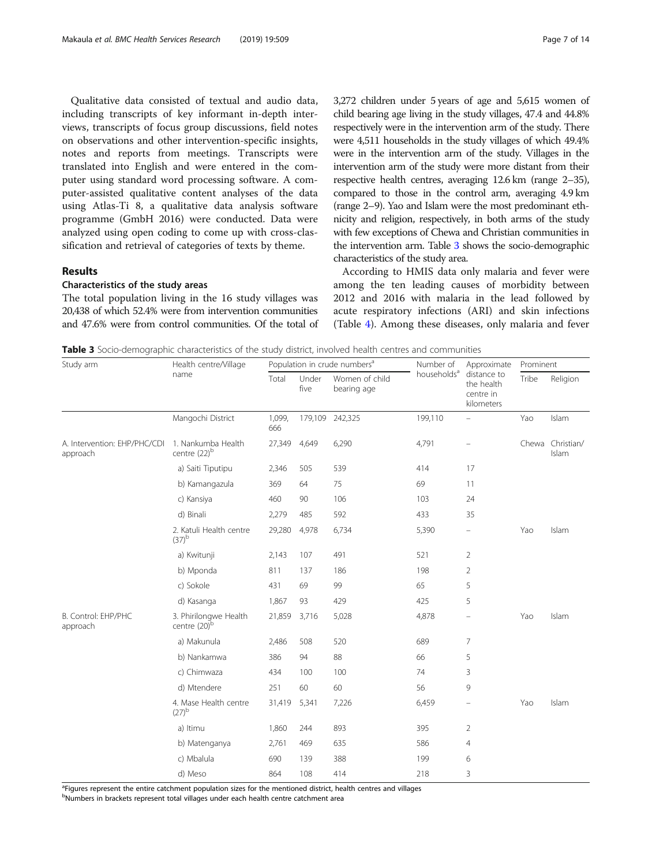Qualitative data consisted of textual and audio data, including transcripts of key informant in-depth interviews, transcripts of focus group discussions, field notes on observations and other intervention-specific insights, notes and reports from meetings. Transcripts were translated into English and were entered in the computer using standard word processing software. A computer-assisted qualitative content analyses of the data using Atlas-Ti 8, a qualitative data analysis software programme (GmbH 2016) were conducted. Data were analyzed using open coding to come up with cross-classification and retrieval of categories of texts by theme.

# Results

# Characteristics of the study areas

The total population living in the 16 study villages was 20,438 of which 52.4% were from intervention communities and 47.6% were from control communities. Of the total of 3,272 children under 5 years of age and 5,615 women of child bearing age living in the study villages, 47.4 and 44.8% respectively were in the intervention arm of the study. There were 4,511 households in the study villages of which 49.4% were in the intervention arm of the study. Villages in the intervention arm of the study were more distant from their respective health centres, averaging 12.6 km (range 2–35), compared to those in the control arm, averaging 4.9 km (range 2–9). Yao and Islam were the most predominant ethnicity and religion, respectively, in both arms of the study with few exceptions of Chewa and Christian communities in the intervention arm. Table 3 shows the socio-demographic characteristics of the study area.

According to HMIS data only malaria and fever were among the ten leading causes of morbidity between 2012 and 2016 with malaria in the lead followed by acute respiratory infections (ARI) and skin infections (Table [4\)](#page-7-0). Among these diseases, only malaria and fever

**Table 3** Socio-demographic characteristics of the study district, involved health centres and communities

| Study arm                                | Health centre/Village                             |               |               | Population in crude numbers <sup>a</sup> | Number of               | Approximate                                          | Prominent |                           |
|------------------------------------------|---------------------------------------------------|---------------|---------------|------------------------------------------|-------------------------|------------------------------------------------------|-----------|---------------------------|
|                                          | name                                              | Total         | Under<br>five | Women of child<br>bearing age            | households <sup>a</sup> | distance to<br>the health<br>centre in<br>kilometers | Tribe     | Religion                  |
|                                          | Mangochi District                                 | 1,099,<br>666 |               | 179,109 242,325                          | 199,110                 | $\overline{\phantom{0}}$                             | Yao       | Islam                     |
| A. Intervention: EHP/PHC/CDI<br>approach | 1. Nankumba Health<br>centre (22) <sup>b</sup>    | 27,349        | 4,649         | 6,290                                    | 4,791                   |                                                      |           | Chewa Christian/<br>Islam |
|                                          | a) Saiti Tiputipu                                 | 2,346         | 505           | 539                                      | 414                     | 17                                                   |           |                           |
|                                          | b) Kamangazula                                    | 369           | 64            | 75                                       | 69                      | 11                                                   |           |                           |
|                                          | c) Kansiya                                        | 460           | 90            | 106                                      | 103                     | 24                                                   |           |                           |
|                                          | d) Binali                                         | 2,279         | 485           | 592                                      | 433                     | 35                                                   |           |                           |
|                                          | 2. Katuli Health centre<br>$(37)^{b}$             | 29,280        | 4,978         | 6,734                                    | 5,390                   |                                                      | Yao       | Islam                     |
|                                          | a) Kwitunji                                       | 2,143         | 107           | 491                                      | 521                     | $\overline{2}$                                       |           |                           |
|                                          | b) Mponda                                         | 811           | 137           | 186                                      | 198                     | $\overline{2}$                                       |           |                           |
|                                          | c) Sokole                                         | 431           | 69            | 99                                       | 65                      | 5                                                    |           |                           |
|                                          | d) Kasanga                                        | 1,867         | 93            | 429                                      | 425                     | 5                                                    |           |                           |
| B. Control: EHP/PHC<br>approach          | 3. Phirilongwe Health<br>centre (20) <sup>b</sup> | 21,859        | 3,716         | 5,028                                    | 4,878                   |                                                      | Yao       | Islam                     |
|                                          | a) Makunula                                       | 2,486         | 508           | 520                                      | 689                     | $\overline{7}$                                       |           |                           |
|                                          | b) Nankamwa                                       | 386           | 94            | 88                                       | 66                      | 5                                                    |           |                           |
|                                          | c) Chimwaza                                       | 434           | 100           | 100                                      | 74                      | 3                                                    |           |                           |
|                                          | d) Mtendere                                       | 251           | 60            | 60                                       | 56                      | 9                                                    |           |                           |
|                                          | 4. Mase Health centre<br>$(27)^{b}$               | 31,419        | 5,341         | 7,226                                    | 6,459                   |                                                      | Yao       | Islam                     |
|                                          | a) Itimu                                          | 1,860         | 244           | 893                                      | 395                     | $\overline{2}$                                       |           |                           |
|                                          | b) Matenganya                                     | 2,761         | 469           | 635                                      | 586                     | 4                                                    |           |                           |
|                                          | c) Mbalula                                        | 690           | 139           | 388                                      | 199                     | 6                                                    |           |                           |
|                                          | d) Meso                                           | 864           | 108           | 414                                      | 218                     | 3                                                    |           |                           |

<sup>a</sup>Figures represent the entire catchment population sizes for the mentioned district, health centres and villages

<sup>b</sup>Numbers in brackets represent total villages under each health centre catchment area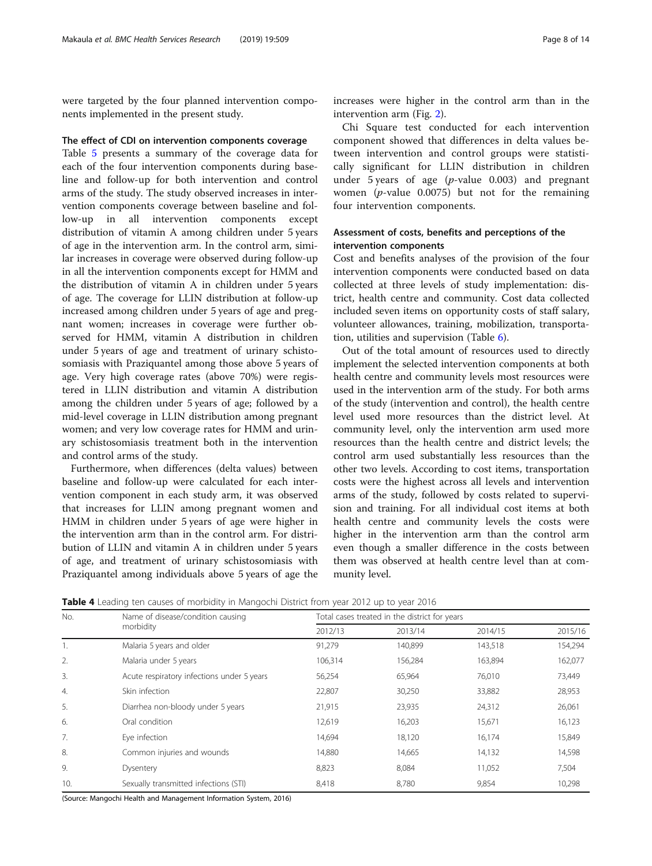<span id="page-7-0"></span>were targeted by the four planned intervention components implemented in the present study.

#### The effect of CDI on intervention components coverage

Table [5](#page-8-0) presents a summary of the coverage data for each of the four intervention components during baseline and follow-up for both intervention and control arms of the study. The study observed increases in intervention components coverage between baseline and follow-up in all intervention components except distribution of vitamin A among children under 5 years of age in the intervention arm. In the control arm, similar increases in coverage were observed during follow-up in all the intervention components except for HMM and the distribution of vitamin A in children under 5 years of age. The coverage for LLIN distribution at follow-up increased among children under 5 years of age and pregnant women; increases in coverage were further observed for HMM, vitamin A distribution in children under 5 years of age and treatment of urinary schistosomiasis with Praziquantel among those above 5 years of age. Very high coverage rates (above 70%) were registered in LLIN distribution and vitamin A distribution among the children under 5 years of age; followed by a mid-level coverage in LLIN distribution among pregnant women; and very low coverage rates for HMM and urinary schistosomiasis treatment both in the intervention and control arms of the study.

Furthermore, when differences (delta values) between baseline and follow-up were calculated for each intervention component in each study arm, it was observed that increases for LLIN among pregnant women and HMM in children under 5 years of age were higher in the intervention arm than in the control arm. For distribution of LLIN and vitamin A in children under 5 years of age, and treatment of urinary schistosomiasis with Praziquantel among individuals above 5 years of age the

increases were higher in the control arm than in the intervention arm (Fig. [2\)](#page-9-0).

Chi Square test conducted for each intervention component showed that differences in delta values between intervention and control groups were statistically significant for LLIN distribution in children under 5 years of age  $(p$ -value 0.003) and pregnant women (p-value 0.0075) but not for the remaining four intervention components.

# Assessment of costs, benefits and perceptions of the intervention components

Cost and benefits analyses of the provision of the four intervention components were conducted based on data collected at three levels of study implementation: district, health centre and community. Cost data collected included seven items on opportunity costs of staff salary, volunteer allowances, training, mobilization, transportation, utilities and supervision (Table [6\)](#page-9-0).

Out of the total amount of resources used to directly implement the selected intervention components at both health centre and community levels most resources were used in the intervention arm of the study. For both arms of the study (intervention and control), the health centre level used more resources than the district level. At community level, only the intervention arm used more resources than the health centre and district levels; the control arm used substantially less resources than the other two levels. According to cost items, transportation costs were the highest across all levels and intervention arms of the study, followed by costs related to supervision and training. For all individual cost items at both health centre and community levels the costs were higher in the intervention arm than the control arm even though a smaller difference in the costs between them was observed at health centre level than at community level.

|  |  | <b>Table 4</b> Leading ten causes of morbidity in Mangochi District from year 2012 up to year 2016 |
|--|--|----------------------------------------------------------------------------------------------------|
|--|--|----------------------------------------------------------------------------------------------------|

| No.              | Name of disease/condition causing          |         | Total cases treated in the district for years |         |         |
|------------------|--------------------------------------------|---------|-----------------------------------------------|---------|---------|
|                  | morbidity                                  | 2012/13 | 2013/14                                       | 2014/15 | 2015/16 |
|                  | Malaria 5 years and older                  | 91,279  | 140,899                                       | 143,518 | 154,294 |
| 2.               | Malaria under 5 years                      | 106,314 | 156,284                                       | 163,894 | 162,077 |
| 3.               | Acute respiratory infections under 5 years | 56,254  | 65,964                                        | 76,010  | 73,449  |
| $\overline{4}$ . | Skin infection                             | 22,807  | 30,250                                        | 33,882  | 28,953  |
| 5.               | Diarrhea non-bloody under 5 years          | 21,915  | 23,935                                        | 24,312  | 26,061  |
| 6.               | Oral condition                             | 12,619  | 16,203                                        | 15,671  | 16,123  |
| 7.               | Eye infection                              | 14,694  | 18,120                                        | 16,174  | 15,849  |
| 8.               | Common injuries and wounds                 | 14,880  | 14,665                                        | 14,132  | 14,598  |
| 9.               | Dysentery                                  | 8,823   | 8,084                                         | 11,052  | 7,504   |
| 10.              | Sexually transmitted infections (STI)      | 8,418   | 8,780                                         | 9,854   | 10,298  |

(Source: Mangochi Health and Management Information System, 2016)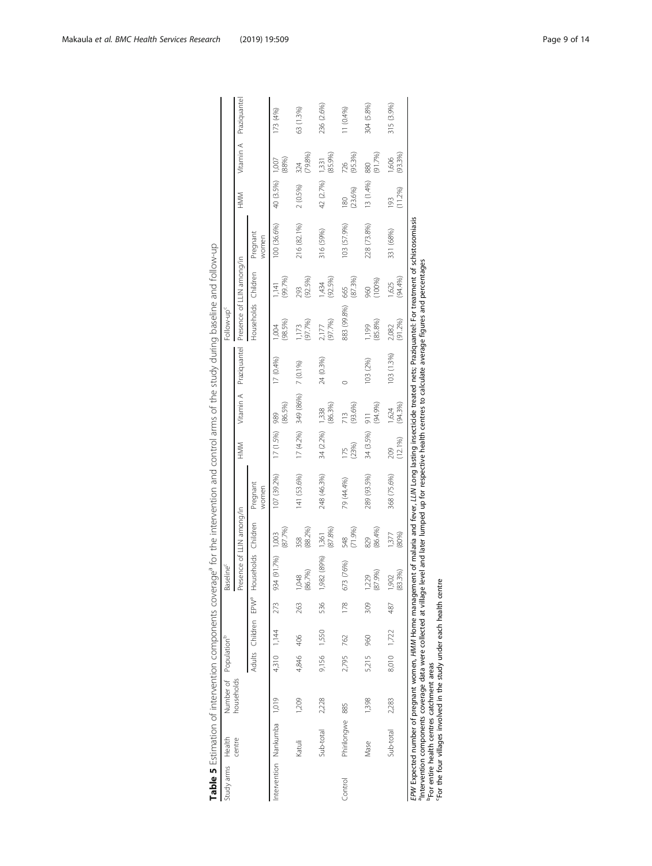| Study arms | Health                      | Number of Population <sup>P</sup>                                |       |       |     | Baseline <sup>c</sup>                                |                  |                                                                                                                                                                                                                                                                                     |                |                           |              | Follow-up <sup>c</sup>      |                  |                   |                           |                  |              |
|------------|-----------------------------|------------------------------------------------------------------|-------|-------|-----|------------------------------------------------------|------------------|-------------------------------------------------------------------------------------------------------------------------------------------------------------------------------------------------------------------------------------------------------------------------------------|----------------|---------------------------|--------------|-----------------------------|------------------|-------------------|---------------------------|------------------|--------------|
|            | centre                      | households                                                       |       |       |     | Presence of LLIN among/in<br>I                       |                  |                                                                                                                                                                                                                                                                                     | HMM            | Vitamin A                 | Praziquantel | Presence of LLIN among/in   |                  |                   | HMM                       | Vitamin A        | Praziquantel |
|            |                             |                                                                  |       |       |     | Adults Children EPW <sup>e</sup> Households Children |                  | Pregnant<br>women                                                                                                                                                                                                                                                                   |                |                           |              | Households Children         |                  | Pregnant<br>women |                           |                  |              |
|            | Intervention Nankumba 1,019 |                                                                  | 4,310 | 1.144 | 273 | 934 (91.7%)                                          | (87.7%)<br>1,003 | 107 (39.2%)                                                                                                                                                                                                                                                                         | 17 (1.5%)      | (86.5%)<br>989            | 17 (0.4%)    | (98.5%)<br>1,004            | (99.7%)<br>1,141 | 100 (36.6%)       | 40 (3.5%)                 | (88%)<br>1,007   | 173 (4%)     |
|            | Katuli                      | 1,209                                                            | 4,846 | 406   | 263 | (86.7%)<br>1,048                                     | (88.2%)<br>358   | 141 (53.6%)                                                                                                                                                                                                                                                                         | 17(4.2%)       | 349 (86%)                 | 7(0.1%)      | (97.7%)<br>1173             | (92.5%)<br>293   | 216 (82.1%)       | 2(0.5%)                   | (79.8%)<br>324   | 63 (1.3%)    |
|            | Sub-total                   | 2,228                                                            | 9,156 | 1,550 | 536 | 1,982 (89%)                                          | (87.8%)<br>1,361 | 248 (46.3%)                                                                                                                                                                                                                                                                         | 34 (2.2%)      | (86.3%)<br>1,338          | 24 (0.3%)    | (97.7%)<br>2,177            | (92.5%)<br>1,434 | 316 (59%)         | 42 (2.7%)                 | (85.9%<br>1,331  | 236 (2.6%)   |
| Control    | Phirilongwe                 | 885                                                              | 2,795 | 762   | 178 | 673 (76%)                                            | (71.9%)<br>548   | 79 (44.4%)                                                                                                                                                                                                                                                                          | (23%)          | (93.6%)<br>713            |              | 883 (99.8%)                 | (87.3%)<br>665   | 103 (57.9%)       | (23.6%)<br>80             | (95.3%)<br>726   | 11 (0.4%)    |
|            | Mase                        | 1,398                                                            | 5,215 | 960   | 309 | ,9%)<br>1,229<br>$\approx$                           | (86.4%)<br>829   | 289 (93.5%)                                                                                                                                                                                                                                                                         | 34 (3.5%)      | (94.9%)<br>$\overline{5}$ | 103 (2%)     | (85.8%)<br>l <sub>199</sub> | (100%<br>960     | 228 (73.8%)       | 13 (1.4%)                 | (91.7%)<br>880   | 304 (5.8%)   |
|            | Sub-total                   | 2,283                                                            | 8,010 | 1,722 | 487 | 1.3%)<br>1,902<br>3                                  | (80%)<br>1,377   | 368 (75.6%)                                                                                                                                                                                                                                                                         | (12.1%)<br>209 | (94.3%)<br>1,624          | 103 (1.3%)   | (91.2%)<br>2,082            | (94.4%<br>1,625  | 331 (68%)         | (11.2%)<br>$\frac{93}{2}$ | (93.3%)<br>1,606 | 315 (3.9%)   |
|            |                             | "Intervention components coverage data were collected at village |       |       |     |                                                      |                  | EPW Expected number of pregnant women, HMM Home management of malaria and fever, LLIN Long lasting insecticide treated nets; Praziquantel: For treatment of schistosomiasis<br>level and later lumped up for respective health centres to calculate average figures and percentages |                |                           |              |                             |                  |                   |                           |                  |              |

| 1<br>Į<br>Ï                                          |   |
|------------------------------------------------------|---|
|                                                      |   |
|                                                      |   |
|                                                      |   |
|                                                      |   |
|                                                      |   |
|                                                      |   |
|                                                      |   |
|                                                      |   |
|                                                      |   |
|                                                      |   |
|                                                      |   |
|                                                      |   |
|                                                      |   |
|                                                      |   |
| j                                                    |   |
| S                                                    |   |
|                                                      |   |
|                                                      | j |
| ł                                                    |   |
|                                                      |   |
|                                                      |   |
| 5                                                    |   |
|                                                      |   |
|                                                      |   |
| S                                                    |   |
| Ś                                                    |   |
| í                                                    |   |
|                                                      |   |
|                                                      |   |
| İ                                                    |   |
|                                                      |   |
|                                                      |   |
|                                                      |   |
|                                                      |   |
|                                                      |   |
|                                                      |   |
| i                                                    |   |
|                                                      |   |
|                                                      |   |
|                                                      |   |
|                                                      |   |
|                                                      |   |
| Ì<br>i                                               |   |
|                                                      |   |
|                                                      |   |
|                                                      |   |
|                                                      |   |
| İ                                                    |   |
| Ò                                                    |   |
| í                                                    |   |
| ţ                                                    |   |
| I<br>j                                               |   |
| j<br>į                                               |   |
|                                                      |   |
|                                                      |   |
|                                                      |   |
|                                                      |   |
|                                                      |   |
| ł                                                    |   |
|                                                      |   |
|                                                      |   |
| )                                                    |   |
|                                                      |   |
| Ì<br>J                                               |   |
|                                                      |   |
|                                                      |   |
| ֖֖֖֖֖֪ׅׅ֪ׅ֪ׅ֪֪ׅ֚֚֚֚֚֚֚֚֚֚֚֚֚֚֚֚֚֚֚֡֝֝֝֝֝֬֝<br>Ì<br>Ŧ | j |
| Į<br>ļ                                               |   |
| į                                                    |   |
| j                                                    |   |
| l                                                    |   |
| )<br>I                                               |   |
|                                                      |   |
| ł                                                    |   |
| l                                                    |   |
| J                                                    |   |
|                                                      |   |
|                                                      |   |
| Ś<br>)                                               |   |
|                                                      |   |
| j                                                    |   |
| ì                                                    |   |
|                                                      |   |
| ١                                                    |   |
| )<br>ł                                               |   |
|                                                      |   |
|                                                      |   |
| ś                                                    |   |
| ţ                                                    |   |
| ł                                                    |   |
|                                                      |   |
|                                                      |   |
|                                                      |   |
|                                                      |   |
|                                                      |   |
|                                                      |   |
| )                                                    |   |
|                                                      |   |
|                                                      |   |
| i                                                    |   |
|                                                      |   |
|                                                      |   |
| Ï                                                    |   |
|                                                      |   |
| 5 <sup>th</sup><br>$\overline{1}$                    |   |
| 1                                                    |   |
|                                                      |   |
| Table                                                |   |

bFor entire health centres catchment areas cFor the four villages involved in the study under each health centre

<span id="page-8-0"></span>Makaula et al. BMC Health Services Research (2019) 19:509 extendion of the service of the Page 9 of 14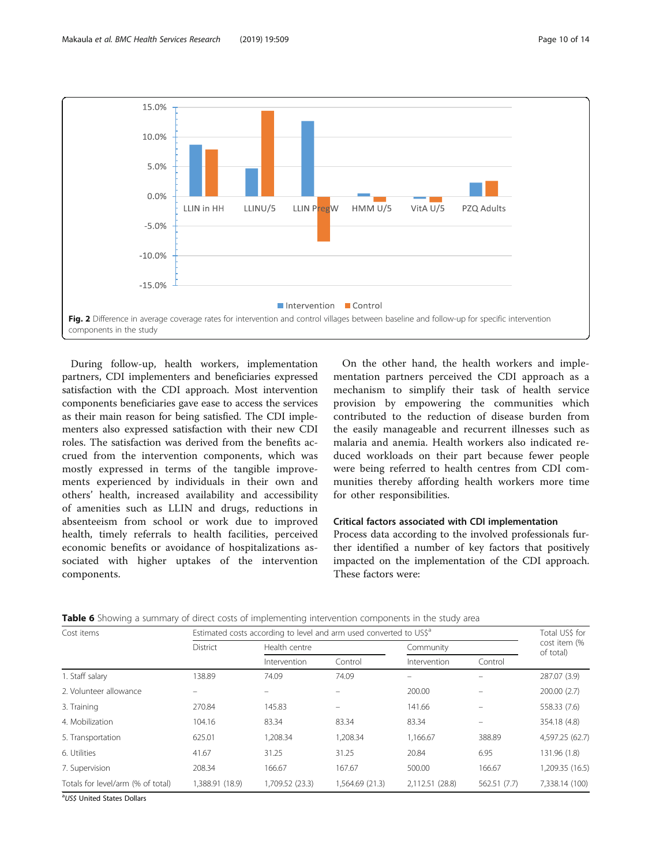<span id="page-9-0"></span>

During follow-up, health workers, implementation partners, CDI implementers and beneficiaries expressed satisfaction with the CDI approach. Most intervention components beneficiaries gave ease to access the services as their main reason for being satisfied. The CDI implementers also expressed satisfaction with their new CDI roles. The satisfaction was derived from the benefits accrued from the intervention components, which was mostly expressed in terms of the tangible improvements experienced by individuals in their own and others' health, increased availability and accessibility of amenities such as LLIN and drugs, reductions in absenteeism from school or work due to improved health, timely referrals to health facilities, perceived economic benefits or avoidance of hospitalizations associated with higher uptakes of the intervention components.

On the other hand, the health workers and implementation partners perceived the CDI approach as a mechanism to simplify their task of health service provision by empowering the communities which contributed to the reduction of disease burden from the easily manageable and recurrent illnesses such as malaria and anemia. Health workers also indicated reduced workloads on their part because fewer people were being referred to health centres from CDI communities thereby affording health workers more time for other responsibilities.

# Critical factors associated with CDI implementation

Process data according to the involved professionals further identified a number of key factors that positively impacted on the implementation of the CDI approach. These factors were:

| Cost items                        |                 |                 | Estimated costs according to level and arm used converted to US\$ <sup>a</sup> |                 |                          | Total US\$ for            |
|-----------------------------------|-----------------|-----------------|--------------------------------------------------------------------------------|-----------------|--------------------------|---------------------------|
|                                   | <b>District</b> | Health centre   |                                                                                | Community       |                          | cost item (%<br>of total) |
|                                   |                 | Intervention    | Control                                                                        | Intervention    | Control                  |                           |
| 1. Staff salary                   | 138.89          | 74.09           | 74.09                                                                          |                 |                          | 287.07 (3.9)              |
| 2. Volunteer allowance            |                 |                 |                                                                                | 200.00          |                          | 200.00 (2.7)              |
| 3. Training                       | 270.84          | 145.83          |                                                                                | 141.66          | -                        | 558.33 (7.6)              |
| 4. Mobilization                   | 104.16          | 83.34           | 83.34                                                                          | 83.34           | $\overline{\phantom{0}}$ | 354.18 (4.8)              |
| 5. Transportation                 | 625.01          | 1.208.34        | 1.208.34                                                                       | 1,166.67        | 388.89                   | 4,597.25 (62.7)           |
| 6. Utilities                      | 41.67           | 31.25           | 31.25                                                                          | 20.84           | 6.95                     | 131.96 (1.8)              |
| 7. Supervision                    | 208.34          | 166.67          | 167.67                                                                         | 500.00          | 166.67                   | 1,209.35 (16.5)           |
| Totals for level/arm (% of total) | 1.388.91 (18.9) | 1,709.52 (23.3) | 1,564.69 (21.3)                                                                | 2.112.51 (28.8) | 562.51 (7.7)             | 7,338.14 (100)            |

|  |  | <b>Table 6</b> Showing a summary of direct costs of implementing intervention components in the study area |  |  |
|--|--|------------------------------------------------------------------------------------------------------------|--|--|
|  |  |                                                                                                            |  |  |

<sup>a</sup>US\$ United States Dollars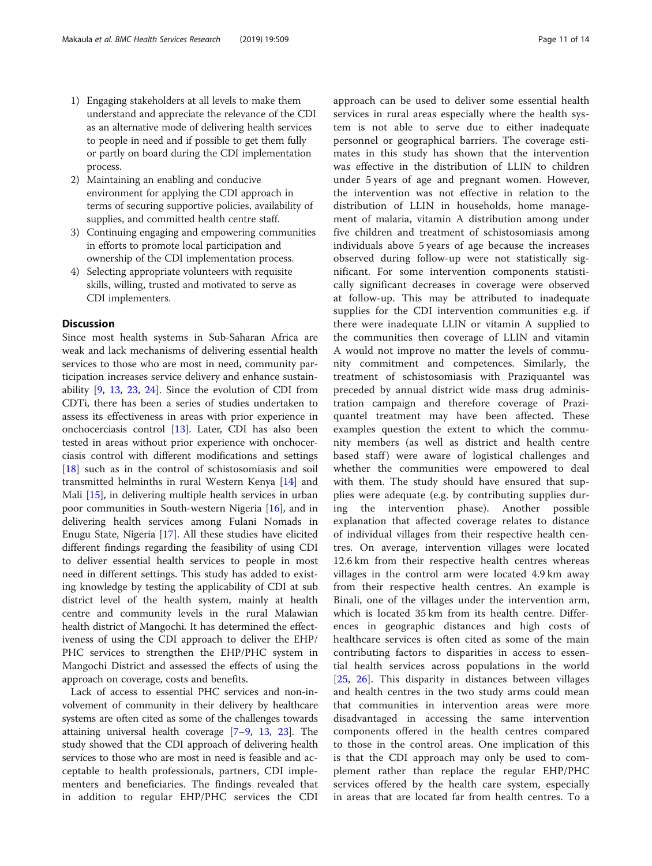- 1) Engaging stakeholders at all levels to make them understand and appreciate the relevance of the CDI as an alternative mode of delivering health services to people in need and if possible to get them fully or partly on board during the CDI implementation process.
- 2) Maintaining an enabling and conducive environment for applying the CDI approach in terms of securing supportive policies, availability of supplies, and committed health centre staff.
- 3) Continuing engaging and empowering communities in efforts to promote local participation and ownership of the CDI implementation process.
- 4) Selecting appropriate volunteers with requisite skills, willing, trusted and motivated to serve as CDI implementers.

### **Discussion**

Since most health systems in Sub-Saharan Africa are weak and lack mechanisms of delivering essential health services to those who are most in need, community participation increases service delivery and enhance sustainability [[9,](#page-13-0) [13,](#page-13-0) [23](#page-13-0), [24](#page-13-0)]. Since the evolution of CDI from CDTi, there has been a series of studies undertaken to assess its effectiveness in areas with prior experience in onchocerciasis control [[13](#page-13-0)]. Later, CDI has also been tested in areas without prior experience with onchocerciasis control with different modifications and settings [[18\]](#page-13-0) such as in the control of schistosomiasis and soil transmitted helminths in rural Western Kenya [[14](#page-13-0)] and Mali [[15\]](#page-13-0), in delivering multiple health services in urban poor communities in South-western Nigeria [[16\]](#page-13-0), and in delivering health services among Fulani Nomads in Enugu State, Nigeria [[17\]](#page-13-0). All these studies have elicited different findings regarding the feasibility of using CDI to deliver essential health services to people in most need in different settings. This study has added to existing knowledge by testing the applicability of CDI at sub district level of the health system, mainly at health centre and community levels in the rural Malawian health district of Mangochi. It has determined the effectiveness of using the CDI approach to deliver the EHP/ PHC services to strengthen the EHP/PHC system in Mangochi District and assessed the effects of using the approach on coverage, costs and benefits.

Lack of access to essential PHC services and non-involvement of community in their delivery by healthcare systems are often cited as some of the challenges towards attaining universal health coverage [\[7](#page-13-0)–[9,](#page-13-0) [13](#page-13-0), [23\]](#page-13-0). The study showed that the CDI approach of delivering health services to those who are most in need is feasible and acceptable to health professionals, partners, CDI implementers and beneficiaries. The findings revealed that in addition to regular EHP/PHC services the CDI approach can be used to deliver some essential health services in rural areas especially where the health system is not able to serve due to either inadequate personnel or geographical barriers. The coverage estimates in this study has shown that the intervention was effective in the distribution of LLIN to children under 5 years of age and pregnant women. However, the intervention was not effective in relation to the distribution of LLIN in households, home management of malaria, vitamin A distribution among under five children and treatment of schistosomiasis among individuals above 5 years of age because the increases observed during follow-up were not statistically significant. For some intervention components statistically significant decreases in coverage were observed at follow-up. This may be attributed to inadequate supplies for the CDI intervention communities e.g. if there were inadequate LLIN or vitamin A supplied to the communities then coverage of LLIN and vitamin A would not improve no matter the levels of community commitment and competences. Similarly, the treatment of schistosomiasis with Praziquantel was preceded by annual district wide mass drug administration campaign and therefore coverage of Praziquantel treatment may have been affected. These examples question the extent to which the community members (as well as district and health centre based staff) were aware of logistical challenges and whether the communities were empowered to deal with them. The study should have ensured that supplies were adequate (e.g. by contributing supplies during the intervention phase). Another possible explanation that affected coverage relates to distance of individual villages from their respective health centres. On average, intervention villages were located 12.6 km from their respective health centres whereas villages in the control arm were located 4.9 km away from their respective health centres. An example is Binali, one of the villages under the intervention arm, which is located 35 km from its health centre. Differences in geographic distances and high costs of healthcare services is often cited as some of the main contributing factors to disparities in access to essential health services across populations in the world [[25,](#page-13-0) [26\]](#page-13-0). This disparity in distances between villages and health centres in the two study arms could mean that communities in intervention areas were more disadvantaged in accessing the same intervention components offered in the health centres compared to those in the control areas. One implication of this is that the CDI approach may only be used to complement rather than replace the regular EHP/PHC services offered by the health care system, especially in areas that are located far from health centres. To a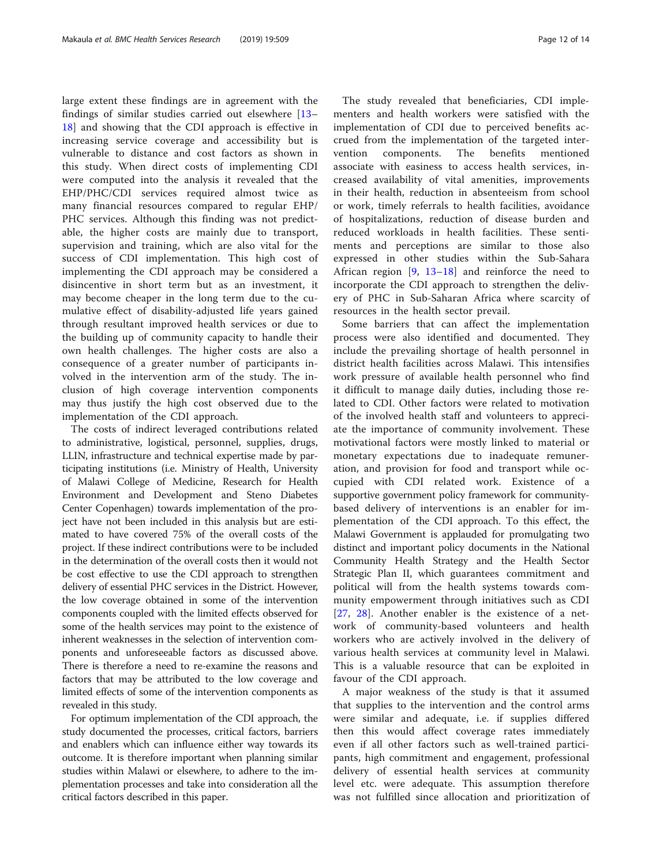large extent these findings are in agreement with the findings of similar studies carried out elsewhere [[13](#page-13-0)– [18\]](#page-13-0) and showing that the CDI approach is effective in increasing service coverage and accessibility but is vulnerable to distance and cost factors as shown in this study. When direct costs of implementing CDI were computed into the analysis it revealed that the EHP/PHC/CDI services required almost twice as many financial resources compared to regular EHP/ PHC services. Although this finding was not predictable, the higher costs are mainly due to transport, supervision and training, which are also vital for the success of CDI implementation. This high cost of implementing the CDI approach may be considered a disincentive in short term but as an investment, it may become cheaper in the long term due to the cumulative effect of disability-adjusted life years gained through resultant improved health services or due to the building up of community capacity to handle their own health challenges. The higher costs are also a consequence of a greater number of participants involved in the intervention arm of the study. The inclusion of high coverage intervention components may thus justify the high cost observed due to the implementation of the CDI approach.

The costs of indirect leveraged contributions related to administrative, logistical, personnel, supplies, drugs, LLIN, infrastructure and technical expertise made by participating institutions (i.e. Ministry of Health, University of Malawi College of Medicine, Research for Health Environment and Development and Steno Diabetes Center Copenhagen) towards implementation of the project have not been included in this analysis but are estimated to have covered 75% of the overall costs of the project. If these indirect contributions were to be included in the determination of the overall costs then it would not be cost effective to use the CDI approach to strengthen delivery of essential PHC services in the District. However, the low coverage obtained in some of the intervention components coupled with the limited effects observed for some of the health services may point to the existence of inherent weaknesses in the selection of intervention components and unforeseeable factors as discussed above. There is therefore a need to re-examine the reasons and factors that may be attributed to the low coverage and limited effects of some of the intervention components as revealed in this study.

For optimum implementation of the CDI approach, the study documented the processes, critical factors, barriers and enablers which can influence either way towards its outcome. It is therefore important when planning similar studies within Malawi or elsewhere, to adhere to the implementation processes and take into consideration all the critical factors described in this paper.

The study revealed that beneficiaries, CDI implementers and health workers were satisfied with the implementation of CDI due to perceived benefits accrued from the implementation of the targeted intervention components. The benefits mentioned associate with easiness to access health services, increased availability of vital amenities, improvements in their health, reduction in absenteeism from school or work, timely referrals to health facilities, avoidance of hospitalizations, reduction of disease burden and reduced workloads in health facilities. These sentiments and perceptions are similar to those also expressed in other studies within the Sub-Sahara African region  $\begin{bmatrix} 9 \\ 13 \\ -18 \end{bmatrix}$  $\begin{bmatrix} 9 \\ 13 \\ -18 \end{bmatrix}$  $\begin{bmatrix} 9 \\ 13 \\ -18 \end{bmatrix}$  and reinforce the need to incorporate the CDI approach to strengthen the delivery of PHC in Sub-Saharan Africa where scarcity of resources in the health sector prevail.

Some barriers that can affect the implementation process were also identified and documented. They include the prevailing shortage of health personnel in district health facilities across Malawi. This intensifies work pressure of available health personnel who find it difficult to manage daily duties, including those related to CDI. Other factors were related to motivation of the involved health staff and volunteers to appreciate the importance of community involvement. These motivational factors were mostly linked to material or monetary expectations due to inadequate remuneration, and provision for food and transport while occupied with CDI related work. Existence of a supportive government policy framework for communitybased delivery of interventions is an enabler for implementation of the CDI approach. To this effect, the Malawi Government is applauded for promulgating two distinct and important policy documents in the National Community Health Strategy and the Health Sector Strategic Plan II, which guarantees commitment and political will from the health systems towards community empowerment through initiatives such as CDI [[27,](#page-13-0) [28\]](#page-13-0). Another enabler is the existence of a network of community-based volunteers and health workers who are actively involved in the delivery of various health services at community level in Malawi. This is a valuable resource that can be exploited in favour of the CDI approach.

A major weakness of the study is that it assumed that supplies to the intervention and the control arms were similar and adequate, i.e. if supplies differed then this would affect coverage rates immediately even if all other factors such as well-trained participants, high commitment and engagement, professional delivery of essential health services at community level etc. were adequate. This assumption therefore was not fulfilled since allocation and prioritization of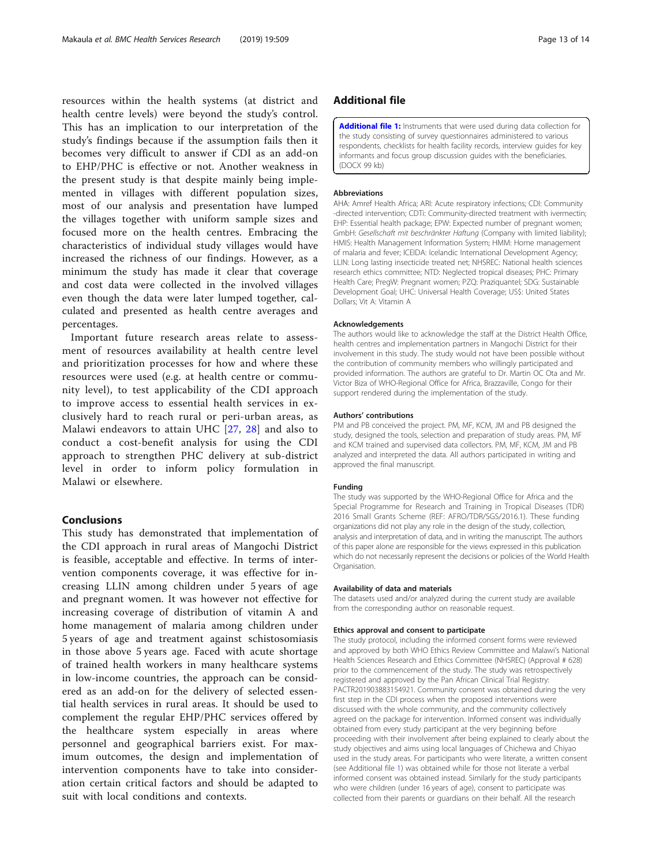<span id="page-12-0"></span>resources within the health systems (at district and health centre levels) were beyond the study's control. This has an implication to our interpretation of the study's findings because if the assumption fails then it becomes very difficult to answer if CDI as an add-on to EHP/PHC is effective or not. Another weakness in the present study is that despite mainly being implemented in villages with different population sizes, most of our analysis and presentation have lumped the villages together with uniform sample sizes and focused more on the health centres. Embracing the characteristics of individual study villages would have increased the richness of our findings. However, as a minimum the study has made it clear that coverage and cost data were collected in the involved villages even though the data were later lumped together, calculated and presented as health centre averages and percentages.

Important future research areas relate to assessment of resources availability at health centre level and prioritization processes for how and where these resources were used (e.g. at health centre or community level), to test applicability of the CDI approach to improve access to essential health services in exclusively hard to reach rural or peri-urban areas, as Malawi endeavors to attain UHC [[27](#page-13-0), [28\]](#page-13-0) and also to conduct a cost-benefit analysis for using the CDI approach to strengthen PHC delivery at sub-district level in order to inform policy formulation in Malawi or elsewhere.

# Conclusions

This study has demonstrated that implementation of the CDI approach in rural areas of Mangochi District is feasible, acceptable and effective. In terms of intervention components coverage, it was effective for increasing LLIN among children under 5 years of age and pregnant women. It was however not effective for increasing coverage of distribution of vitamin A and home management of malaria among children under 5 years of age and treatment against schistosomiasis in those above 5 years age. Faced with acute shortage of trained health workers in many healthcare systems in low-income countries, the approach can be considered as an add-on for the delivery of selected essential health services in rural areas. It should be used to complement the regular EHP/PHC services offered by the healthcare system especially in areas where personnel and geographical barriers exist. For maximum outcomes, the design and implementation of intervention components have to take into consideration certain critical factors and should be adapted to suit with local conditions and contexts.

# Additional file

[Additional file 1:](https://doi.org/10.1186/s12913-019-4341-5) Instruments that were used during data collection for the study consisting of survey questionnaires administered to various respondents, checklists for health facility records, interview guides for key informants and focus group discussion guides with the beneficiaries. (DOCX 99 kb)

#### Abbreviations

AHA: Amref Health Africa; ARI: Acute respiratory infections; CDI: Community -directed intervention; CDTi: Community-directed treatment with ivermectin; EHP: Essential health package; EPW: Expected number of pregnant women; GmbH: Gesellschaft mit beschränkter Haftung (Company with limited liability); HMIS: Health Management Information System; HMM: Home management of malaria and fever; ICEIDA: Icelandic International Development Agency; LLIN: Long lasting insecticide treated net; NHSREC: National health sciences research ethics committee; NTD: Neglected tropical diseases; PHC: Primary Health Care; PregW: Pregnant women; PZQ: Praziquantel; SDG: Sustainable Development Goal; UHC: Universal Health Coverage; US\$: United States Dollars; Vit A: Vitamin A

#### Acknowledgements

The authors would like to acknowledge the staff at the District Health Office, health centres and implementation partners in Mangochi District for their involvement in this study. The study would not have been possible without the contribution of community members who willingly participated and provided information. The authors are grateful to Dr. Martin OC Ota and Mr. Victor Biza of WHO-Regional Office for Africa, Brazzaville, Congo for their support rendered during the implementation of the study.

#### Authors' contributions

PM and PB conceived the project. PM, MF, KCM, JM and PB designed the study, designed the tools, selection and preparation of study areas. PM, MF and KCM trained and supervised data collectors. PM, MF, KCM, JM and PB analyzed and interpreted the data. All authors participated in writing and approved the final manuscript.

#### Funding

The study was supported by the WHO-Regional Office for Africa and the Special Programme for Research and Training in Tropical Diseases (TDR) 2016 Small Grants Scheme (REF: AFRO/TDR/SGS/2016.1). These funding organizations did not play any role in the design of the study, collection, analysis and interpretation of data, and in writing the manuscript. The authors of this paper alone are responsible for the views expressed in this publication which do not necessarily represent the decisions or policies of the World Health Organisation.

#### Availability of data and materials

The datasets used and/or analyzed during the current study are available from the corresponding author on reasonable request.

#### Ethics approval and consent to participate

The study protocol, including the informed consent forms were reviewed and approved by both WHO Ethics Review Committee and Malawi's National Health Sciences Research and Ethics Committee (NHSREC) (Approval # 628) prior to the commencement of the study. The study was retrospectively registered and approved by the Pan African Clinical Trial Registry: PACTR201903883154921. Community consent was obtained during the very first step in the CDI process when the proposed interventions were discussed with the whole community, and the community collectively agreed on the package for intervention. Informed consent was individually obtained from every study participant at the very beginning before proceeding with their involvement after being explained to clearly about the study objectives and aims using local languages of Chichewa and Chiyao used in the study areas. For participants who were literate, a written consent (see Additional file 1) was obtained while for those not literate a verbal informed consent was obtained instead. Similarly for the study participants who were children (under 16 years of age), consent to participate was collected from their parents or guardians on their behalf. All the research